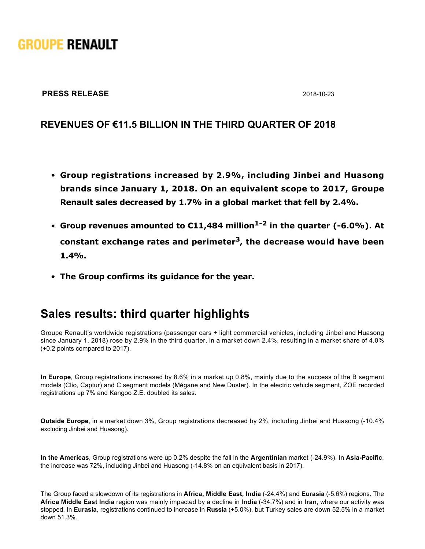# **GROUPE RENAULT**

#### **PRESS RELEASE** 2018-10-23

#### **REVENUES OF €11.5 BILLION IN THE THIRD QUARTER OF 2018**

- **Group registrations increased by 2.9%, including Jinbei and Huasong brands since January 1, 2018. On an equivalent scope to 2017, Groupe Renault sales decreased by 1.7% in a global market that fell by 2.4%.**
- **•** Group revenues amounted to €11,484 million<sup>1-2</sup> in the quarter (-6.0%). At **constant exchange rates and perimeter3, the decrease would have been 1.4%.**
- **The Group confirms its guidance for the year.**

### **Sales results: third quarter highlights**

Groupe Renault's worldwide registrations (passenger cars + light commercial vehicles, including Jinbei and Huasong since January 1, 2018) rose by 2.9% in the third quarter, in a market down 2.4%, resulting in a market share of 4.0% (+0.2 points compared to 2017).

**In Europe**, Group registrations increased by 8.6% in a market up 0.8%, mainly due to the success of the B segment models (Clio, Captur) and C segment models (Mégane and New Duster). In the electric vehicle segment, ZOE recorded registrations up 7% and Kangoo Z.E. doubled its sales.

**Outside Europe**, in a market down 3%, Group registrations decreased by 2%, including Jinbei and Huasong (-10.4% excluding Jinbei and Huasong).

**In the Americas**, Group registrations were up 0.2% despite the fall in the **Argentinian** market (24.9%). In **AsiaPacific**, the increase was 72%, including Jinbei and Huasong (-14.8% on an equivalent basis in 2017).

The Group faced a slowdown of its registrations in Africa, Middle East, India (-24.4%) and Eurasia (-5.6%) regions. The **Africa Middle East India** region was mainly impacted by a decline in **India** (34.7%) and in **Iran**, where our activity was stopped. In **Eurasia**, registrations continued to increase in **Russia** (+5.0%), but Turkey sales are down 52.5% in a market down 51.3%.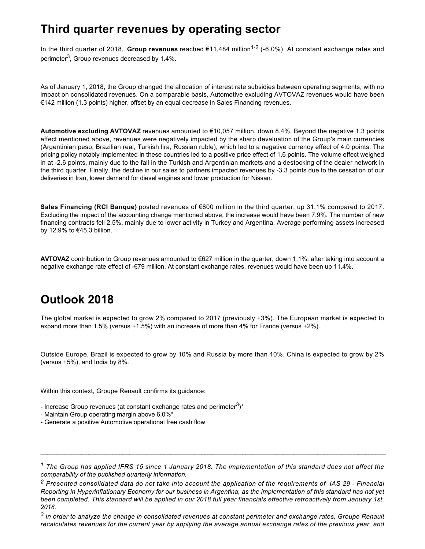### **Third quarter revenues by operating sector**

In the third quarter of 2018, Group revenues reached €11,484 million<sup>1-2</sup> (-6.0%). At constant exchange rates and perimeter $^3$ , Group revenues decreased by 1.4%.

As of January 1, 2018, the Group changed the allocation of interest rate subsidies between operating segments, with no impact on consolidated revenues. On a comparable basis, Automotive excluding AVTOVAZ revenues would have been €142 million (1.3 points) higher, offset by an equal decrease in Sales Financing revenues.

**Automotive excluding AVTOVAZ** revenues amounted to €10,057 million, down 8.4%. Beyond the negative 1.3 points effect mentioned above, revenues were negatively impacted by the sharp devaluation of the Group's main currencies (Argentinian peso, Brazilian real, Turkish lira, Russian ruble), which led to a negative currency effect of 4.0 points. The pricing policy notably implemented in these countries led to a positive price effect of 1.6 points. The volume effect weighed in at 2.6 points, mainly due to the fall in the Turkish and Argentinian markets and a destocking of the dealer network in the third quarter. Finally, the decline in our sales to partners impacted revenues by 3.3 points due to the cessation of our deliveries in Iran, lower demand for diesel engines and lower production for Nissan.

**Sales Financing (RCI Banque)** posted revenues of €800 million in the third quarter, up 31.1% compared to 2017. Excluding the impact of the accounting change mentioned above, the increase would have been 7.9%. The number of new financing contracts fell 2.5%, mainly due to lower activity in Turkey and Argentina. Average performing assets increased by 12.9% to €45.3 billion.

**AVTOVAZ** contribution to Group revenues amounted to €627 million in the quarter, down 1.1%, after taking into account a negative exchange rate effect of €79 million. At constant exchange rates, revenues would have been up 11.4%.

## **Outlook 2018**

The global market is expected to grow 2% compared to 2017 (previously +3%). The European market is expected to expand more than 1.5% (versus +1.5%) with an increase of more than 4% for France (versus +2%).

Outside Europe, Brazil is expected to grow by 10% and Russia by more than 10%. China is expected to grow by 2% (versus +5%), and India by 8%.

Within this context, Groupe Renault confirms its guidance:

- Increase Group revenues (at constant exchange rates and perimeter $^3)^*$ 

- Maintain Group operating margin above 6.0%\*
- Generate a positive Automotive operational free cash flow

\_\_\_\_\_\_\_\_\_\_\_\_\_\_\_\_\_\_\_\_\_\_\_\_\_\_\_\_\_\_\_\_\_\_\_\_\_\_\_\_\_\_\_\_\_\_\_\_\_\_\_\_\_\_\_\_\_\_\_\_\_\_\_\_\_\_\_\_\_\_\_\_\_\_\_\_\_\_\_\_\_\_\_\_\_\_\_\_\_\_\_\_\_\_\_\_\_\_\_\_\_

*<sup>1</sup> The Group has applied IFRS 15 since 1 January 2018. The implementation of this standard does not affect the comparability of the published quarterly information.*

*<sup>2</sup>Presented consolidated data do not take into account the application of the requirements of IAS 29 Financial Reporting in Hyperinflationary Economy for our business in Argentina, as the implementation of this standard has not yet been completed. This standard will be applied in our 2018 full year financials effective retroactively from January 1st, 2018.*

*<sup>3</sup>In order to analyze the change in consolidated revenues at constant perimeter and exchange rates, Groupe Renault recalculates revenues for the current year by applying the average annual exchange rates of the previous year, and*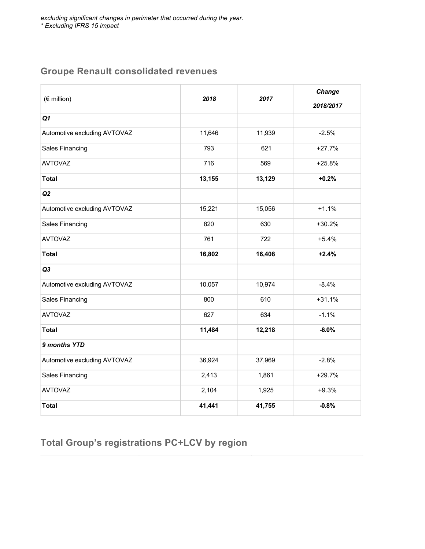#### **Groupe Renault consolidated revenues**

| (€ million)                  | 2018   | 2017   | Change<br>2018/2017 |
|------------------------------|--------|--------|---------------------|
| Q1                           |        |        |                     |
| Automotive excluding AVTOVAZ | 11,646 | 11,939 | $-2.5%$             |
| <b>Sales Financing</b>       | 793    | 621    | $+27.7%$            |
| <b>AVTOVAZ</b>               | 716    | 569    | $+25.8%$            |
| <b>Total</b>                 | 13,155 | 13,129 | $+0.2%$             |
| Q2                           |        |        |                     |
| Automotive excluding AVTOVAZ | 15,221 | 15,056 | $+1.1%$             |
| <b>Sales Financing</b>       | 820    | 630    | $+30.2%$            |
| <b>AVTOVAZ</b>               | 761    | 722    | $+5.4%$             |
| <b>Total</b>                 | 16,802 | 16,408 | $+2.4%$             |
| Q3                           |        |        |                     |
| Automotive excluding AVTOVAZ | 10,057 | 10,974 | $-8.4%$             |
| <b>Sales Financing</b>       | 800    | 610    | $+31.1%$            |
| <b>AVTOVAZ</b>               | 627    | 634    | $-1.1%$             |
| <b>Total</b>                 | 11,484 | 12,218 | $-6.0%$             |
| 9 months YTD                 |        |        |                     |
| Automotive excluding AVTOVAZ | 36,924 | 37,969 | $-2.8%$             |
| Sales Financing              | 2,413  | 1,861  | $+29.7%$            |
| <b>AVTOVAZ</b>               | 2,104  | 1,925  | $+9.3%$             |
| <b>Total</b>                 | 41,441 | 41,755 | $-0.8%$             |

*recalculates revenues for the current year by applying the average annual exchange rates of the previous year, and*

#### **Total Group's registrations PC+LCV by region**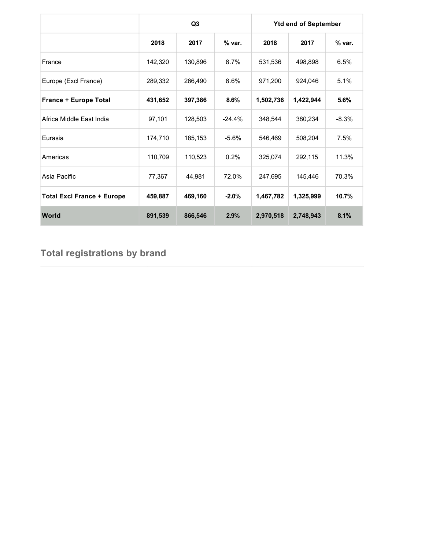|                                   | Q <sub>3</sub> |         |          | <b>Ytd end of September</b> |           |          |
|-----------------------------------|----------------|---------|----------|-----------------------------|-----------|----------|
|                                   | 2018           | 2017    | % var.   | 2018                        | 2017      | $%$ var. |
| France                            | 142,320        | 130,896 | 8.7%     | 531,536                     | 498,898   | 6.5%     |
| Europe (Excl France)              | 289,332        | 266,490 | 8.6%     | 971,200                     | 924,046   | 5.1%     |
| <b>France + Europe Total</b>      | 431,652        | 397,386 | 8.6%     | 1,502,736                   | 1,422,944 | 5.6%     |
| Africa Middle East India          | 97,101         | 128,503 | $-24.4%$ | 348,544                     | 380,234   | $-8.3%$  |
| Eurasia                           | 174,710        | 185,153 | $-5.6%$  | 546,469                     | 508,204   | 7.5%     |
| Americas                          | 110,709        | 110,523 | 0.2%     | 325,074                     | 292,115   | 11.3%    |
| Asia Pacific                      | 77,367         | 44,981  | 72.0%    | 247,695                     | 145,446   | 70.3%    |
| <b>Total Excl France + Europe</b> | 459,887        | 469,160 | $-2.0%$  | 1,467,782                   | 1,325,999 | 10.7%    |
| World                             | 891,539        | 866,546 | 2.9%     | 2,970,518                   | 2,748,943 | 8.1%     |

### **Total registrations by brand**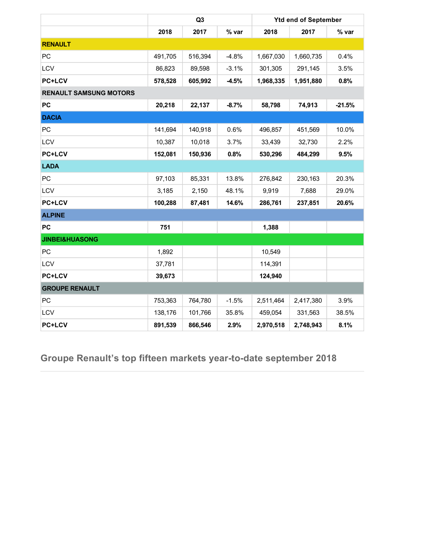|                               | Q3      |         | <b>Ytd end of September</b> |           |           |          |
|-------------------------------|---------|---------|-----------------------------|-----------|-----------|----------|
|                               | 2018    | 2017    | % var                       | 2018      | 2017      | % var    |
| <b>RENAULT</b>                |         |         |                             |           |           |          |
| PC                            | 491,705 | 516,394 | $-4.8%$                     | 1,667,030 | 1,660,735 | 0.4%     |
| LCV                           | 86,823  | 89,598  | $-3.1%$                     | 301,305   | 291,145   | 3.5%     |
| <b>PC+LCV</b>                 | 578,528 | 605,992 | $-4.5%$                     | 1,968,335 | 1,951,880 | 0.8%     |
| <b>RENAULT SAMSUNG MOTORS</b> |         |         |                             |           |           |          |
| PC                            | 20,218  | 22,137  | $-8.7%$                     | 58,798    | 74,913    | $-21.5%$ |
| <b>DACIA</b>                  |         |         |                             |           |           |          |
| PC                            | 141,694 | 140,918 | 0.6%                        | 496,857   | 451,569   | 10.0%    |
| LCV                           | 10,387  | 10,018  | 3.7%                        | 33,439    | 32,730    | 2.2%     |
| <b>PC+LCV</b>                 | 152,081 | 150,936 | 0.8%                        | 530,296   | 484,299   | 9.5%     |
| <b>LADA</b>                   |         |         |                             |           |           |          |
| PC                            | 97,103  | 85,331  | 13.8%                       | 276,842   | 230,163   | 20.3%    |
| LCV                           | 3,185   | 2,150   | 48.1%                       | 9,919     | 7,688     | 29.0%    |
| <b>PC+LCV</b>                 | 100,288 | 87,481  | 14.6%                       | 286,761   | 237,851   | 20.6%    |
| <b>ALPINE</b>                 |         |         |                             |           |           |          |
| <b>PC</b>                     | 751     |         |                             | 1,388     |           |          |
| <b>JINBEI&amp;HUASONG</b>     |         |         |                             |           |           |          |
| PC                            | 1,892   |         |                             | 10,549    |           |          |
| LCV                           | 37,781  |         |                             | 114,391   |           |          |
| <b>PC+LCV</b>                 | 39,673  |         |                             | 124,940   |           |          |
| <b>GROUPE RENAULT</b>         |         |         |                             |           |           |          |
| PC                            | 753,363 | 764,780 | $-1.5%$                     | 2,511,464 | 2,417,380 | 3.9%     |
| LCV                           | 138,176 | 101,766 | 35.8%                       | 459,054   | 331,563   | 38.5%    |
| <b>PC+LCV</b>                 | 891,539 | 866,546 | 2.9%                        | 2,970,518 | 2,748,943 | 8.1%     |

**Groupe Renault's top fifteen markets year-to-date september 2018**